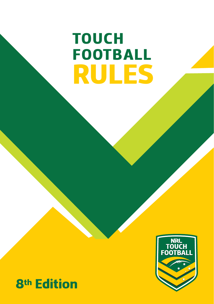# RULES TOUCH FOOTBALL



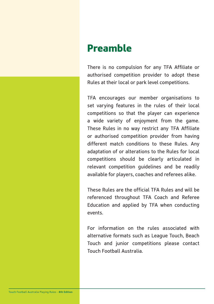# Preamble

There is no compulsion for any TFA Affiliate or authorised competition provider to adopt these Rules at their local or park level competitions.

TFA encourages our member organisations to set varying features in the rules of their local competitions so that the player can experience a wide variety of enjoyment from the game. These Rules in no way restrict any TFA Affiliate or authorised competition provider from having different match conditions to these Rules. Any adaptation of or alterations to the Rules for local competitions should be clearly articulated in relevant competition guidelines and be readily available for players, coaches and referees alike.

These Rules are the official TFA Rules and will be referenced throughout TFA Coach and Referee Education and applied by TFA when conducting events.

For information on the rules associated with alternative formats such as League Touch, Beach Touch and junior competitions please contact Touch Football Australia.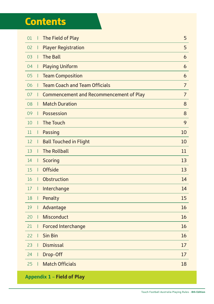# **Contents**

| 01 | I | The Field of Play                              | 5              |
|----|---|------------------------------------------------|----------------|
| 02 | I | <b>Player Registration</b>                     | 5              |
| 03 | I | <b>The Ball</b>                                | 6              |
| 04 | I | <b>Playing Uniform</b>                         | 6              |
| 05 | I | <b>Team Composition</b>                        | 6              |
| 06 | I | <b>Team Coach and Team Officials</b>           | $\overline{7}$ |
| 07 | I | <b>Commencement and Recommencement of Play</b> | 7              |
| 08 | I | <b>Match Duration</b>                          | 8              |
| 09 | I | Possession                                     | 8              |
| 10 | I | <b>The Touch</b>                               | 9              |
| 11 | I | Passing                                        | 10             |
| 12 | I | <b>Ball Touched in Flight</b>                  | 10             |
| 13 | I | <b>The Rollball</b>                            | 11             |
| 14 | L | Scoring                                        | 13             |
| 15 | I | <b>Offside</b>                                 | 13             |
| 16 | I | <b>Obstruction</b>                             | 14             |
| 17 | I | Interchange                                    | 14             |
| 18 | I | Penalty                                        | 15             |
| 19 | I | Advantage                                      | 16             |
| 20 | I | <b>Misconduct</b>                              | 16             |
| 21 | I | <b>Forced Interchange</b>                      | 16             |
| 22 | I | <b>Sin Bin</b>                                 | 16             |
| 23 | I | <b>Dismissal</b>                               | 17             |
| 24 | L | Drop-Off                                       | 17             |
| 25 | I | <b>Match Officials</b>                         | 18             |

**Appendix 1 – Field of Play**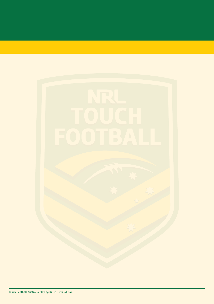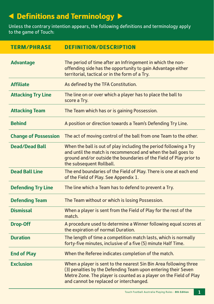# **Example 1 Set of Terminology →**

Unless the contrary intention appears, the following definitions and terminology apply to the game of Touch:

#### TERM/PHRASE DEFINITION/DESCRIPTION

| <b>Advantage</b>            | The period of time after an Infringement in which the non-<br>offending side has the opportunity to gain Advantage either<br>territorial, tactical or in the form of a Try.                                                                         |
|-----------------------------|-----------------------------------------------------------------------------------------------------------------------------------------------------------------------------------------------------------------------------------------------------|
| <b>Affiliate</b>            | As defined by the TFA Constitution.                                                                                                                                                                                                                 |
| <b>Attacking Try Line</b>   | The line on or over which a player has to place the ball to<br>score a Try.                                                                                                                                                                         |
| <b>Attacking Team</b>       | The Team which has or is gaining Possession.                                                                                                                                                                                                        |
| <b>Behind</b>               | A position or direction towards a Team's Defending Try Line.                                                                                                                                                                                        |
| <b>Change of Possession</b> | The act of moving control of the ball from one Team to the other.                                                                                                                                                                                   |
| <b>Dead/Dead Ball</b>       | When the ball is out of play including the period following a Try<br>and until the match is recommenced and when the ball goes to<br>ground and/or outside the boundaries of the Field of Play prior to<br>the subsequent Rollball.                 |
| <b>Dead Ball Line</b>       | The end boundaries of the Field of Play. There is one at each end<br>of the Field of Play. See Appendix 1.                                                                                                                                          |
| <b>Defending Try Line</b>   | The line which a Team has to defend to prevent a Try.                                                                                                                                                                                               |
| <b>Defending Team</b>       | The Team without or which is losing Possession.                                                                                                                                                                                                     |
| <b>Dismissal</b>            | When a player is sent from the Field of Play for the rest of the<br>match.                                                                                                                                                                          |
| Drop-Off                    | A procedure used to determine a Winner following equal scores at<br>the expiration of normal Duration.                                                                                                                                              |
| <b>Duration</b>             | The length of time a competition match lasts, which is normally<br>forty-five minutes, inclusive of a five (5) minute Half Time.                                                                                                                    |
| <b>End of Play</b>          | When the Referee indicates completion of the match.                                                                                                                                                                                                 |
| <b>Exclusion</b>            | When a player is sent to the nearest Sin Bin Area following three<br>(3) penalties by the Defending Team upon entering their Seven<br>Metre Zone. The player is counted as a player on the Field of Play<br>and cannot be replaced or interchanged. |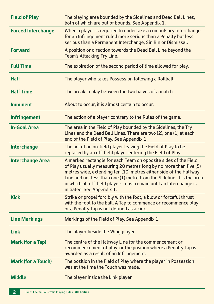| <b>Field of Play</b>      | The playing area bounded by the Sidelines and Dead Ball Lines,<br>both of which are out of bounds. See Appendix 1.                                                                                                                                                                                                                                                                      |
|---------------------------|-----------------------------------------------------------------------------------------------------------------------------------------------------------------------------------------------------------------------------------------------------------------------------------------------------------------------------------------------------------------------------------------|
| <b>Forced Interchange</b> | When a player is required to undertake a compulsory Interchange<br>for an Infringement ruled more serious than a Penalty but less<br>serious than a Permanent Interchange, Sin Bin or Dismissal.                                                                                                                                                                                        |
| <b>Forward</b>            | A position or direction towards the Dead Ball Line beyond the<br>Team's Attacking Try Line.                                                                                                                                                                                                                                                                                             |
| <b>Full Time</b>          | The expiration of the second period of time allowed for play.                                                                                                                                                                                                                                                                                                                           |
| Half                      | The player who takes Possession following a Rollball.                                                                                                                                                                                                                                                                                                                                   |
| <b>Half Time</b>          | The break in play between the two halves of a match.                                                                                                                                                                                                                                                                                                                                    |
| <b>Imminent</b>           | About to occur, it is almost certain to occur.                                                                                                                                                                                                                                                                                                                                          |
| <b>Infringement</b>       | The action of a player contrary to the Rules of the game.                                                                                                                                                                                                                                                                                                                               |
| <b>In-Goal Area</b>       | The area in the Field of Play bounded by the Sidelines, the Try<br>Lines and the Dead Ball Lines. There are two (2), one (1) at each<br>end of the Field of Play. See Appendix 1.                                                                                                                                                                                                       |
| Interchange               | The act of an on-field player leaving the Field of Play to be<br>replaced by an off-field player entering the Field of Play.                                                                                                                                                                                                                                                            |
| <b>Interchange Area</b>   | A marked rectangle for each Team on opposite sides of the Field<br>of Play usually measuring 20 metres long by no more than five (5)<br>metres wide, extending ten (10) metres either side of the Halfway<br>Line and not less than one (1) metre from the Sideline. It is the area<br>in which all off-field players must remain until an Interchange is<br>initiated. See Appendix 1. |
| <b>Kick</b>               | Strike or propel forcibly with the foot, a blow or forceful thrust<br>with the foot to the ball. A Tap to commence or recommence play<br>or a Penalty Tap is not defined as a kick.                                                                                                                                                                                                     |
| <b>Line Markings</b>      | Markings of the Field of Play. See Appendix 1.                                                                                                                                                                                                                                                                                                                                          |
| <b>Link</b>               | The player beside the Wing player.                                                                                                                                                                                                                                                                                                                                                      |
| Mark (for a Tap)          | The centre of the Halfway Line for the commencement or<br>recommencement of play, or the position where a Penalty Tap is<br>awarded as a result of an Infringement.                                                                                                                                                                                                                     |
| <b>Mark (for a Touch)</b> | The position in the Field of Play where the player in Possession<br>was at the time the Touch was made.                                                                                                                                                                                                                                                                                 |
| <b>Middle</b>             | The player inside the Link player.                                                                                                                                                                                                                                                                                                                                                      |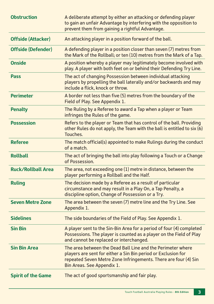| <b>Obstruction</b>        | A deliberate attempt by either an attacking or defending player<br>to gain an unfair Advantage by interfering with the opposition to<br>prevent them from gaining a rightful Advantage.                                       |
|---------------------------|-------------------------------------------------------------------------------------------------------------------------------------------------------------------------------------------------------------------------------|
| <b>Offside (Attacker)</b> | An attacking player in a position forward of the ball.                                                                                                                                                                        |
| <b>Offside (Defender)</b> | A defending player in a position closer than seven (7) metres from<br>the Mark of the Rollball; or ten (10) metres from the Mark of a Tap.                                                                                    |
| <b>Onside</b>             | A position whereby a player may legitimately become involved with<br>play. A player with both feet on or behind their Defending Try Line.                                                                                     |
| Pass                      | The act of changing Possession between individual attacking<br>players by propelling the ball laterally and/or backwards and may<br>include a flick, knock or throw.                                                          |
| <b>Perimeter</b>          | A border not less than five (5) metres from the boundary of the<br>Field of Play. See Appendix 1.                                                                                                                             |
| <b>Penalty</b>            | The Ruling by a Referee to award a Tap when a player or Team<br>infringes the Rules of the game.                                                                                                                              |
| <b>Possession</b>         | Refers to the player or Team that has control of the ball. Providing<br>other Rules do not apply, the Team with the ball is entitled to six (6)<br>Touches.                                                                   |
| <b>Referee</b>            | The match official(s) appointed to make Rulings during the conduct<br>of a match.                                                                                                                                             |
| <b>Rollball</b>           | The act of bringing the ball into play following a Touch or a Change<br>of Possession.                                                                                                                                        |
| <b>Ruck/Rollball Area</b> | The area, not exceeding one (1) metre in distance, between the<br>player performing a Rollball and the Half.                                                                                                                  |
| <b>Ruling</b>             | The decision made by a Referee as a result of particular<br>circumstance and may result in a Play On, a Tap Penalty, a<br>discipline option, Change of Possession or a Try.                                                   |
| <b>Seven Metre Zone</b>   | The area between the seven (7) metre line and the Try Line. See<br>Appendix 1.                                                                                                                                                |
| <b>Sidelines</b>          | The side boundaries of the Field of Play. See Appendix 1.                                                                                                                                                                     |
| <b>Sin Rin</b>            | A player sent to the Sin-Bin Area for a period of four (4) completed<br>Possessions. The player is counted as a player on the Field of Play<br>and cannot be replaced or interchanged.                                        |
| <b>Sin Bin Area</b>       | The area between the Dead Ball Line and the Perimeter where<br>players are sent for either a Sin Bin period or Exclusion for<br>repeated Seven Metre Zone Infringements. There are four (4) Sin<br>Bin Areas. See Appendix 1. |
| <b>Spirit of the Game</b> | The act of good sportsmanship and fair play.                                                                                                                                                                                  |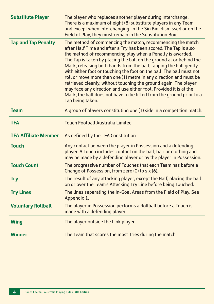| <b>Substitute Player</b>    | The player who replaces another player during Interchange.<br>There is a maximum of eight (8) substitute players in any Team<br>and except when interchanging, in the Sin Bin, dismissed or on the<br>Field of Play, they must remain in the Substitution Box.                                                                                                                                                                                                                                                                                                                                                                                                                                                             |
|-----------------------------|----------------------------------------------------------------------------------------------------------------------------------------------------------------------------------------------------------------------------------------------------------------------------------------------------------------------------------------------------------------------------------------------------------------------------------------------------------------------------------------------------------------------------------------------------------------------------------------------------------------------------------------------------------------------------------------------------------------------------|
| <b>Tap and Tap Penalty</b>  | The method of commencing the match, recommencing the match<br>after Half Time and after a Try has been scored. The Tap is also<br>the method of recommencing play when a Penalty is awarded.<br>The Tap is taken by placing the ball on the ground at or behind the<br>Mark, releasing both hands from the ball, tapping the ball gently<br>with either foot or touching the foot on the ball. The ball must not<br>roll or move more than one (1) metre in any direction and must be<br>retrieved cleanly, without touching the ground again. The player<br>may face any direction and use either foot. Provided it is at the<br>Mark, the ball does not have to be lifted from the ground prior to a<br>Tap being taken. |
| <b>Team</b>                 | A group of players constituting one (1) side in a competition match.                                                                                                                                                                                                                                                                                                                                                                                                                                                                                                                                                                                                                                                       |
| <b>TFA</b>                  | <b>Touch Football Australia Limited</b>                                                                                                                                                                                                                                                                                                                                                                                                                                                                                                                                                                                                                                                                                    |
|                             |                                                                                                                                                                                                                                                                                                                                                                                                                                                                                                                                                                                                                                                                                                                            |
| <b>TFA Affiliate Member</b> | As defined by the TFA Constitution                                                                                                                                                                                                                                                                                                                                                                                                                                                                                                                                                                                                                                                                                         |
| <b>Touch</b>                | Any contact between the player in Possession and a defending<br>player. A Touch includes contact on the ball, hair or clothing and<br>may be made by a defending player or by the player in Possession.                                                                                                                                                                                                                                                                                                                                                                                                                                                                                                                    |
| <b>Touch Count</b>          | The progressive number of Touches that each Team has before a<br>Change of Possession, from zero (0) to six (6).                                                                                                                                                                                                                                                                                                                                                                                                                                                                                                                                                                                                           |
| <b>Try</b>                  | The result of any attacking player, except the Half, placing the ball<br>on or over the Team's Attacking Try Line before being Touched.                                                                                                                                                                                                                                                                                                                                                                                                                                                                                                                                                                                    |
| <b>Try Lines</b>            | The lines separating the In-Goal Areas from the Field of Play. See<br>Appendix 1.                                                                                                                                                                                                                                                                                                                                                                                                                                                                                                                                                                                                                                          |
| <b>Voluntary Rollball</b>   | The player in Possession performs a Rollball before a Touch is<br>made with a defending player.                                                                                                                                                                                                                                                                                                                                                                                                                                                                                                                                                                                                                            |
| <b>Wing</b>                 | The player outside the Link player.                                                                                                                                                                                                                                                                                                                                                                                                                                                                                                                                                                                                                                                                                        |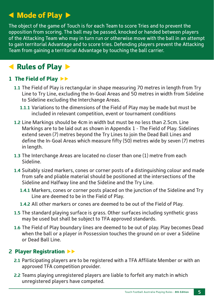# **EXAMP** Mode of Play **▶**

The object of the game of Touch is for each Team to score Tries and to prevent the opposition from scoring. The ball may be passed, knocked or handed between players of the Attacking Team who may in turn run or otherwise move with the ball in an attempt to gain territorial Advantage and to score tries. Defending players prevent the Attacking Team from gaining a territorial Advantage by touching the ball carrier.

### ◆ Rules of Play ▶

#### 1 The Field of Play  $\blacktriangleright\blacktriangleright$

- **1.1** The Field of Play is rectangular in shape measuring 70 metres in length from Try Line to Try Line, excluding the In-Goal Areas and 50 metres in width from Sideline to Sideline excluding the Interchange Areas.
	- **1.1.1** Variations to the dimensions of the Field of Play may be made but must be included in relevant competition, event or tournament conditions
- **1.2** Line Markings should be 4cm in width but must be no less than 2.5cm. Line Markings are to be laid out as shown in Appendix 1 - The Field of Play. Sidelines extend seven (7) metres beyond the Try Lines to join the Dead Ball Lines and define the In-Goal Areas which measure fifty (50) metres wide by seven (7) metres in length.
- **1.3** The Interchange Areas are located no closer than one (1) metre from each Sideline.
- **1.4** Suitably sized markers, cones or corner posts of a distinguishing colour and made from safe and pliable material should be positioned at the intersections of the Sideline and Halfway line and the Sideline and the Try Line.
	- **1.4.1** Markers, cones or corner posts placed on the junction of the Sideline and Try Line are deemed to be in the Field of Play.
	- **1.4.2** All other markers or cones are deemed to be out of the Field of Play.
- **1.5** The standard playing surface is grass. Other surfaces including synthetic grass may be used but shall be subject to TFA approved standards.
- **1.6** The Field of Play boundary lines are deemed to be out of play. Play becomes Dead when the ball or a player in Possession touches the ground on or over a Sideline or Dead Ball Line.

#### **2** Player Registration

- **2.1** Participating players are to be registered with a TFA Affiliate Member or with an approved TFA competition provider.
- **2.2** Teams playing unregistered players are liable to forfeit any match in which unregistered players have competed.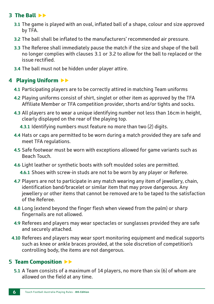#### **3** The Ball

- **3.1** The game is played with an oval, inflated ball of a shape, colour and size approved by TFA.
- **3.2** The ball shall be inflated to the manufacturers' recommended air pressure.
- **3.3** The Referee shall immediately pause the match if the size and shape of the ball no longer complies with clauses 3.1 or 3.2 to allow for the ball to replaced or the issue rectified.
- **3.4** The ball must not be hidden under player attire.

#### **4** Playing Uniform

- **4.1** Participating players are to be correctly attired in matching Team uniforms
- **4.2** Playing uniforms consist of shirt, singlet or other item as approved by the TFA Affiliate Member or TFA competition provider, shorts and/or tights and socks.
- **4.3** All players are to wear a unique identifying number not less than 16cm in height, clearly displayed on the rear of the playing top.

**4.3.1** Identifying numbers must feature no more than two (2) digits.

- **4.4** Hats or caps are permitted to be worn during a match provided they are safe and meet TFA regulations.
- **4.5** Safe footwear must be worn with exceptions allowed for game variants such as Beach Touch.
- **4.6** Light leather or synthetic boots with soft moulded soles are permitted.

**4.6.1** Shoes with screw-in studs are not to be worn by any player or Referee.

- **4.7** Players are not to participate in any match wearing any item of jewellery, chain, identification band/bracelet or similar item that may prove dangerous. Any jewellery or other items that cannot be removed are to be taped to the satisfaction of the Referee.
- **4.8** Long (extend beyond the finger flesh when viewed from the palm) or sharp fingernails are not allowed.
- **4.9** Referees and players may wear spectacles or sunglasses provided they are safe and securely attached.
- **4.10** Referees and players may wear sport monitoring equipment and medical supports such as knee or ankle braces provided, at the sole discretion of competition's controlling body, the items are not dangerous.

#### **5** Team Composition

**5.1** A Team consists of a maximum of 14 players, no more than six (6) of whom are allowed on the field at any time.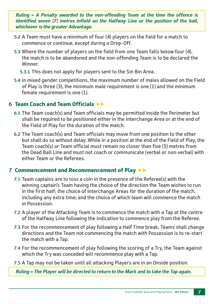*Ruling = A Penalty awarded to the non-offending Team at the time the offence is identified seven (7) metres infield on the Halfway Line or the position of the ball, whichever is the greater Advantage.*

- **5.2** A Team must have a minimum of four (4) players on the field for a match to commence or continue, except during a Drop-Off.
- **5.3** Where the number of players on the field from one Team falls below four (4), the match is to be abandoned and the non-offending Team is to be declared the Winner.
	- **5.3.1** This does not apply for players sent to the Sin Bin Area.
- **5.4** In mixed gender competitions, the maximum number of males allowed on the Field of Play is three (3), the minimum male requirement is one (1) and the minimum female requirement is one (1).

#### **6** Team Coach and Team Officials

- **6.1** The Team coach(s) and Team officials may be permitted inside the Perimeter but shall be required to be positioned either in the Interchange Area or at the end of the Field of Play for the duration of the match.
- **6.2** The Team coach(s) and Team officials may move from one position to the other but shall do so without delay. While in a position at the end of the Field of Play, the Team coach(s) or Team official must remain no closer than five (5) metres from the Dead Ball Line and must not coach or communicate (verbal or non-verbal) with either Team or the Referees.

#### **7** Commencement and Recommencement of Play

- **7.1** Team captains are to toss a coin in the presence of the Referee(s) with the winning captain's Team having the choice of the direction the Team wishes to run in the first half; the choice of Interchange Areas for the duration of the match, including any extra time; and the choice of which team will commence the match in Possession.
- **7.2** A player of the Attacking Team is to commence the match with a Tap at the centre of the Halfway Line following the indication to commence play from the Referee.
- **7.3** For the recommencement of play following a Half Time break, Teams shall change directions and the Team not commencing the match with Possession is to re-start the match with a Tap.
- **7.4** For the recommencement of play following the scoring of a Try, the Team against which the Try was conceded will recommence play with a Tap.
- **7.5** A Tap may not be taken until all attacking Players are in an Onside position.

*Ruling = The Player will be directed to return to the Mark and to take the Tap again.*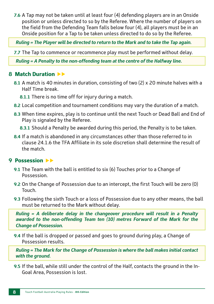**7.6** A Tap may not be taken until at least four (4) defending players are in an Onside position or unless directed to so by the Referee. Where the number of players on the field from the Defending Team falls below four (4), all players must be in an Onside position for a Tap to be taken unless directed to do so by the Referee.

*Ruling = The Player will be directed to return to the Mark and to take the Tap again.*

**7.7** The Tap to commence or recommence play must be performed without delay.

*Ruling = A Penalty to the non-offending team at the centre of the Halfway line.*

#### **8** Match Duration

**8.1** A match is 40 minutes in duration, consisting of two (2) x 20 minute halves with a Half Time break.

**8.1.1** There is no time off for injury during a match.

- **8.2** Local competition and tournament conditions may vary the duration of a match.
- **8.3** When time expires, play is to continue until the next Touch or Dead Ball and End of Play is signaled by the Referee.

**8.3.1** Should a Penalty be awarded during this period, the Penalty is to be taken.

**8.4** If a match is abandoned in any circumstances other than those referred to in clause 24.1.6 the TFA Affiliate in its sole discretion shall determine the result of the match.

#### **9** Possession  $\blacktriangleright\blacktriangleright$

- **9.1** The Team with the ball is entitled to six (6) Touches prior to a Change of Possession.
- **9.2** On the Change of Possession due to an intercept, the first Touch will be zero (0) Touch.
- **9.3** Following the sixth Touch or a loss of Possession due to any other means, the ball must be returned to the Mark without delay.

*Ruling = A deliberate delay in the changeover procedure will result in a Penalty awarded to the non-offending Team ten (10) metres Forward of the Mark for the Change of Possession.*

**9.4** If the ball is dropped or passed and goes to ground during play, a Change of Possession results.

*Ruling = The Mark for the Change of Possession is where the ball makes initial contact with the ground.*

**9.5** If the ball, while still under the control of the Half, contacts the ground in the In-Goal Area, Possession is lost.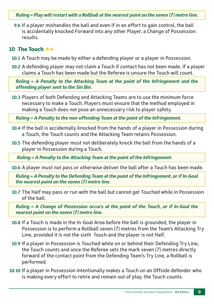*Ruling = Play will restart with a Rollball at the nearest point on the seven (7) metre line.*

**9.6** If a player mishandles the ball and even if in an effort to gain control, the ball is accidentally knocked Forward into any other Player, a Change of Possession results.

#### 10 The Touch  $\blacktriangleright\blacktriangleright$

- **10.1** A Touch may be made by either a defending player or a player in Possession.
- **10.2** A defending player may not claim a Touch if contact has not been made. If a player claims a Touch has been made but the Referee is unsure the Touch will count.

*Ruling = A Penalty to the Attacking Team at the point of the Infringement and the offending player sent to the Sin Bin.*

**10.3** Players of both Defending and Attacking Teams are to use the minimum force necessary to make a Touch. Players must ensure that the method employed in making a Touch does not pose an unnecessary risk to player safety.

*Ruling = A Penalty to the non-offending Team at the point of the Infringement.*

- **10.4** If the ball is accidentally knocked from the hands of a player in Possession during a Touch, the Touch counts and the Attacking Team retains Possession.
- **10.5** The defending player must not deliberately knock the ball from the hands of a player in Possession during a Touch.

 *Ruling = A Penalty to the Attacking Team at the point of the Infringement.*

**10.6** A player must not pass or otherwise deliver the ball after a Touch has been made.

*Ruling = A Penalty to the Defending Team at the point of the Infringement, or if In-Goal the nearest point on the seven (7) metre line.*

**10.7** The Half may pass or run with the ball but cannot get Touched while in Possession of the ball.

*Ruling = A Change of Possession occurs at the point of the Touch, or if In-Goal the nearest point on the seven (7) metre line.*

- **10.8** If a Touch is made in the In-Goal Area before the ball is grounded, the player in Possession is to perform a Rollball seven (7) metres from the Team's Attacking Try Line, provided it is not the sixth Touch and the player is not Half.
- **10.9** If a player in Possession is Touched while on or behind their Defending Try Line, the Touch counts and once the Referee sets the mark seven (7) metres directly forward of the contact point from the Defending Team's Try Line, a Rollball is performed.
- **10.10** If a player in Possession intentionally makes a Touch on an Offside defender who is making every effort to retire and remain out of play, the Touch counts.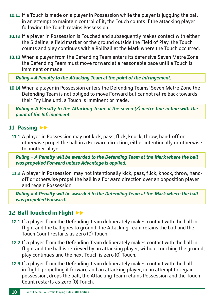- **10.11** If a Touch is made on a player in Possession while the player is juggling the ball in an attempt to maintain control of it, the Touch counts if the attacking player following the Touch retains Possession.
- **10.12** If a player in Possession is Touched and subsequently makes contact with either the Sideline, a field marker or the ground outside the Field of Play, the Touch counts and play continues with a Rollball at the Mark where the Touch occurred.
- **10.13** When a player from the Defending Team enters its defensive Seven Metre Zone the Defending Team must move forward at a reasonable pace until a Touch is Imminent or made.

*Ruling = A Penalty to the Attacking Team at the point of the Infringement.*

**10.14** When a player in Possession enters the Defending Teams' Seven Metre Zone the Defending Team is not obliged to move Forward but cannot retire back towards their Try Line until a Touch is Imminent or made.

*Ruling = A Penalty to the Attacking Team at the seven (7) metre line in line with the point of the Infringement.*

#### 11 Passing  $\blacktriangleright\blacktriangleright$

**11.1** A player in Possession may not kick, pass, flick, knock, throw, hand-off or otherwise propel the ball in a Forward direction, either intentionally or otherwise to another player.

*Ruling = A Penalty will be awarded to the Defending Team at the Mark where the ball was propelled Forward unless Advantage is applied.*

**11.2** A player in Possession may not intentionally kick, pass, flick, knock, throw, handoff or otherwise propel the ball in a Forward direction over an opposition player and regain Possession.

*Ruling = A Penalty will be awarded to the Defending Team at the Mark where the ball was propelled Forward.*

#### 12 Ball Touched in Flight  $\blacktriangleright\blacktriangleright$

- **12.1** If a player from the Defending Team deliberately makes contact with the ball in flight and the ball goes to ground, the Attacking Team retains the ball and the Touch Count restarts as zero (0) Touch.
- **12.2** If a player from the Defending Team deliberately makes contact with the ball in flight and the ball is retrieved by an attacking player, without touching the ground, play continues and the next Touch is zero (0) Touch.
- **12.3** If a player from the Defending Team deliberately makes contact with the ball in flight, propelling it forward and an attacking player, in an attempt to regain possession, drops the ball, the Attacking Team retains Possession and the Touch Count restarts as zero (0) Touch.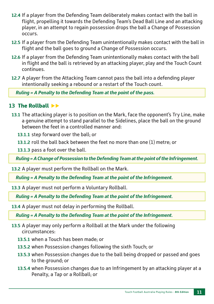- **12.4** If a player from the Defending Team deliberately makes contact with the ball in flight, propelling it towards the Defending Team's Dead Ball Line and an attacking player, in an attempt to regain possession drops the ball a Change of Possession occurs.
- **12.5** If a player from the Defending Team unintentionally makes contact with the ball in flight and the ball goes to ground a Change of Possession occurs.
- **12.6** If a player from the Defending Team unintentionally makes contact with the ball in flight and the ball is retrieved by an attacking player, play and the Touch Count continues.
- **12.7** A player from the Attacking Team cannot pass the ball into a defending player intentionally seeking a rebound or a restart of the Touch count.

*Ruling = A Penalty to the Defending Team at the point of the pass.*

#### 13 The Rollball **>>**

- **13.1** The attacking player is to position on the Mark, face the opponent's Try Line, make a genuine attempt to stand parallel to the Sidelines, place the ball on the ground between the feet in a controlled manner and:
	- **13.1.1** step forward over the ball; or
	- **13.1.2** roll the ball back between the feet no more than one (1) metre; or

**13.1.3** pass a foot over the ball.

*Ruling = A Change of Possession to the Defending Team at the point of the Infringement.*

**13.2** A player must perform the Rollball on the Mark.

*Ruling = A Penalty to the Defending Team at the point of the Infringement.*

**13.3** A player must not perform a Voluntary Rollball.

*Ruling = A Penalty to the Defending Team at the point of the Infringement.*

**13.4** A player must not delay in performing the Rollball.

*Ruling = A Penalty to the Defending Team at the point of the Infringement.*

- **13.5** A player may only perform a Rollball at the Mark under the following circumstances:
	- **13.5.1** when a Touch has been made; or
	- **13.5.2** when Possession changes following the sixth Touch; or
	- **13.5.3** when Possession changes due to the ball being dropped or passed and goes to the ground; or
	- **13.5.4** when Possession changes due to an Infringement by an attacking player at a Penalty, a Tap or a Rollball; or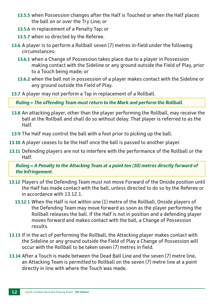- **13.5.5** when Possession changes after the Half is Touched or when the Half places the ball on or over the Try Line; or
- **13.5.6** in replacement of a Penalty Tap; or
- **13.5.7** when so directed by the Referee.
- **13.6** A player is to perform a Rollball seven (7) metres in-field under the following circumstances:
	- **13.6.1** when a Change of Possession takes place due to a player in Possession making contact with the Sideline or any ground outside the Field of Play, prior to a Touch being made; or
	- **13.6.2** when the ball not in possession of a player makes contact with the Sideline or any ground outside the Field of Play.
- **13.7** A player may not perform a Tap in replacement of a Rollball.

*Ruling = The offending Team must return to the Mark and perform the Rollball.*

- **13.8** An attacking player, other than the player performing the Rollball, may receive the ball at the Rollball and shall do so without delay. That player is referred to as the Half.
- **13.9** The Half may control the ball with a foot prior to picking up the ball.
- **13.10** A player ceases to be the Half once the ball is passed to another player.
- **13.11** Defending players are not to interfere with the performance of the Rollball or the Half.

*Ruling = A Penalty to the Attacking Team at a point ten (10) metres directly forward of the Infringement.*

- **13.12** Players of the Defending Team must not move Forward of the Onside position until the Half has made contact with the ball, unless directed to do so by the Referee or in accordance with 13.12.1.
	- **13.12.1** When the Half is not within one (1) metre of the Rollball, Onside players of the Defending Team may move forward as soon as the player performing the Rollball releases the ball. If the Half is not in position and a defending player moves forward and makes contact with the ball, a Change of Possession results.
- **13.13** If in the act of performing the Rollball, the Attacking player makes contact with the Sideline or any ground outside the Field of Play a Change of Possession will occur with the Rollball to be taken seven (7) metres in field.
- **13.14** After a Touch is made between the Dead Ball Line and the seven (7) metre line, an Attacking Team is permitted to Rollball on the seven (7) metre line at a point directly in line with where the Touch was made.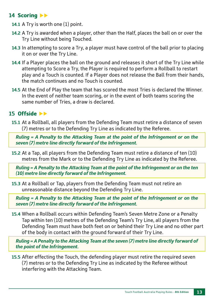#### 14 Scoring  $\blacktriangleright\blacktriangleright$

- **14.1** A Try is worth one (1) point.
- **14.2** A Try is awarded when a player, other than the Half, places the ball on or over the Try Line without being Touched.
- **14.3** In attempting to score a Try, a player must have control of the ball prior to placing it on or over the Try Line.
- **14.4** If a Player places the ball on the ground and releases it short of the Try Line while attempting to Score a Try, the Player is required to perform a Rollball to restart play and a Touch is counted. If a Player does not release the Ball from their hands, the match continues and no Touch is counted.
- **14.5** At the End of Play the team that has scored the most Tries is declared the Winner. In the event of neither team scoring, or in the event of both teams scoring the same number of Tries, a draw is declared.

#### 15 Offside  $\blacktriangleright\blacktriangleright$

**15.1** At a Rollball, all players from the Defending Team must retire a distance of seven (7) metres or to the Defending Try Line as indicated by the Referee.

*Ruling = A Penalty to the Attacking Team at the point of the Infringement or on the seven (7) metre line directly forward of the Infringement.*

**15.2** At a Tap, all players from the Defending Team must retire a distance of ten (10) metres from the Mark or to the Defending Try Line as indicated by the Referee.

*Ruling = A Penalty to the Attacking Team at the point of the Infringement or on the ten (10) metre line directly forward of the Infringement.*

**15.3** At a Rollball or Tap, players from the Defending Team must not retire an unreasonable distance beyond the Defending Try Line.

*Ruling = A Penalty to the Attacking Team at the point of the Infringement or on the seven (7) metre line directly forward of the Infringement.*

**15.4** When a Rollball occurs within Defending Team's Seven Metre Zone or a Penalty Tap within ten (10) metres of the Defending Team's Try Line, all players from the Defending Team must have both feet on or behind their Try Line and no other part of the body in contact with the ground forward of their Try Line.

*Ruling = A Penalty to the Attacking Team at the seven (7) metre line directly forward of the point of the Infringement.*

**15.5** After effecting the Touch, the defending player must retire the required seven (7) metres or to the Defending Try Line as indicated by the Referee without interfering with the Attacking Team.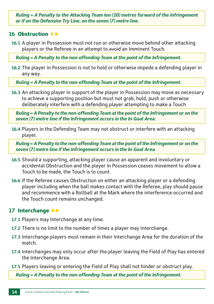*Ruling = A Penalty to the Attacking Team ten (10) metres forward of the Infringement or if on the Defensive Try Line, on the seven (7) metre line.*

#### 16 Obstruction  $\blacktriangleright\blacktriangleright$

**16.1** A player in Possession must not run or otherwise move behind other attacking players or the Referee in an attempt to avoid an Imminent Touch.

*Ruling = A Penalty to the non-offending Team at the point of the Infringement.* 

**16.2** The player in Possession is not to hold or otherwise impede a defending player in any way.

*Ruling = A Penalty to the non-offending Team at the point of the Infringement.* 

**16.3** An attacking player in support of the player in Possession may move as necessary to achieve a supporting position but must not grab, hold, push or otherwise deliberately interfere with a defending player attempting to make a Touch

*Ruling = A Penalty to the non-offending Team at the point of the Infringement or on the seven (7) metre line if the Infringement occurs in the In-Goal Area.* 

**16.4** Players in the Defending Team may not obstruct or interfere with an attacking player.

*Ruling = A Penalty to the non-offending Team at the point of the Infringement or on the seven (7) metre line if the Infringement occurs in the In-Goal Area.* 

- **16.5** Should a supporting, attacking player cause an apparent and involuntary or accidental Obstruction and the player in Possession ceases movement to allow a Touch to be made, the Touch is to count.
- **16.6** If the Referee causes Obstruction on either an attacking player or a defending player including when the ball makes contact with the Referee, play should pause and recommence with a Rollball at the Mark where the interference occurred and the Touch count remains unchanged.

#### 17 Interchange  $\blacktriangleright\blacktriangleright$

- **17.1** Players may Interchange at any time.
- **17.2** There is no limit to the number of times a player may Interchange.
- **17.3** Interchange players must remain in their Interchange Area for the duration of the match.
- **17.4** Interchanges may only occur after the player leaving the Field of Play has entered the Interchange Area.
- **17.5** Players leaving or entering the Field of Play shall not hinder or obstruct play.

*Ruling = A Penalty to the non-offending Team at the point of the Infringement.*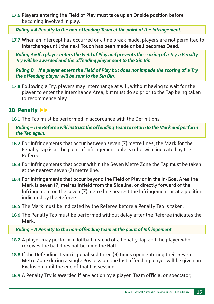**17.6** Players entering the Field of Play must take up an Onside position before becoming involved in play.

*Ruling = A Penalty to the non-offending Team at the point of the Infringement.*

**17.7** When an intercept has occurred or a line break made, players are not permitted to Interchange until the next Touch has been made or ball becomes Dead.

*Ruling A = If a player enters the Field of Play and prevents the scoring of a Try, a Penalty Try will be awarded and the offending player sent to the Sin Bin.*

*Ruling B = If a player enters the Field of Play but does not impede the scoring of a Try the offending player will be sent to the Sin Bin.*

**17.8** Following a Try, players may Interchange at will, without having to wait for the player to enter the Interchange Area, but must do so prior to the Tap being taken to recommence play.

#### 18 Penalty  $\blacktriangleright\blacktriangleright$

**18.1** The Tap must be performed in accordance with the Definitions.

*Ruling = The Referee will instruct the offending Team to return to the Mark and perform the Tap again.*

- **18.2** For Infringements that occur between seven (7) metre lines, the Mark for the Penalty Tap is at the point of Infringement unless otherwise indicated by the Referee.
- **18.3** For Infringements that occur within the Seven Metre Zone the Tap must be taken at the nearest seven (7) metre line.
- **18.4** For Infringements that occur beyond the Field of Play or in the In-Goal Area the Mark is seven (7) metres infield from the Sideline, or directly forward of the Infringement on the seven (7) metre line nearest the Infringement or at a position indicated by the Referee.
- **18.5** The Mark must be indicated by the Referee before a Penalty Tap is taken.
- **18.6** The Penalty Tap must be performed without delay after the Referee indicates the Mark.

*Ruling = A Penalty to the non-offending team at the point of Infringement.*

- **18.7** A player may perform a Rollball instead of a Penalty Tap and the player who receives the ball does not become the Half.
- **18.8** If the Defending Team is penalised three (3) times upon entering their Seven Metre Zone during a single Possession, the last offending player will be given an Exclusion until the end of that Possession.
- **18.9** A Penalty Try is awarded if any action by a player, Team official or spectator,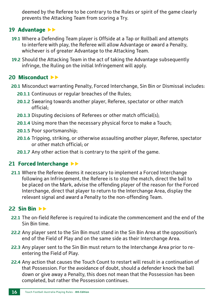deemed by the Referee to be contrary to the Rules or spirit of the game clearly prevents the Attacking Team from scoring a Try.

#### **19** Advantage

- **19.1** Where a Defending Team player is Offside at a Tap or Rollball and attempts to interfere with play, the Referee will allow Advantage or award a Penalty, whichever is of greater Advantage to the Attacking Team.
- **19.2** Should the Attacking Team in the act of taking the Advantage subsequently infringe, the Ruling on the initial Infringement will apply.

#### 20 Misconduct **>>**

- **20.1** Misconduct warranting Penalty, Forced Interchange, Sin Bin or Dismissal includes:
	- **20.1.1** Continuous or regular breaches of the Rules;
	- **20.1.2** Swearing towards another player, Referee, spectator or other match official;
	- **20.1.3** Disputing decisions of Referees or other match official(s);
	- **20.1.4** Using more than the necessary physical force to make a Touch;
	- **20.1.5** Poor sportsmanship;
	- **20.1.6** Tripping, striking, or otherwise assaulting another player, Referee, spectator or other match official; or
	- **20.1.7** Any other action that is contrary to the spirit of the game.

#### **21** Forced Interchange

**21.1** Where the Referee deems it necessary to implement a Forced Interchange following an Infringement, the Referee is to stop the match, direct the ball to be placed on the Mark, advise the offending player of the reason for the Forced Interchange, direct that player to return to the Interchange Area, display the relevant signal and award a Penalty to the non-offending Team.

#### **22** Sin Bin

- **22.1** The on-field Referee is required to indicate the commencement and the end of the Sin Bin time.
- **22.2** Any player sent to the Sin Bin must stand in the Sin Bin Area at the opposition's end of the Field of Play and on the same side as their Interchange Area.
- **22.3** Any player sent to the Sin Bin must return to the Interchange Area prior to reentering the Field of Play.
- **22.4** Any action that causes the Touch Count to restart will result in a continuation of that Possession. For the avoidance of doubt, should a defender knock the ball down or give away a Penalty, this does not mean that the Possession has been completed, but rather the Possession continues.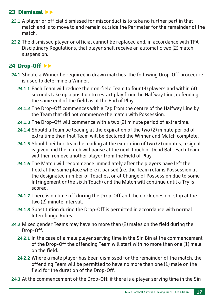#### **23** Dismissal

- **23.1** A player or official dismissed for misconduct is to take no further part in that match and is to move to and remain outside the Perimeter for the remainder of the match.
- **23.2** The dismissed player or official cannot be replaced and, in accordance with TFA Disciplinary Regulations, that player shall receive an automatic two (2) match suspension.

#### **24** Drop-Off

- **24.1** Should a Winner be required in drawn matches, the following Drop-Off procedure is used to determine a Winner.
	- **24.1.1** Each Team will reduce their on-field Team to four (4) players and within 60 seconds take up a position to restart play from the Halfway Line, defending the same end of the field as at the End of Play.
	- **24.1.2** The Drop-Off commences with a Tap from the centre of the Halfway Line by the Team that did not commence the match with Possession.
	- **24.1.3** The Drop-Off will commence with a two (2) minute period of extra time.
	- **24.1.4** Should a Team be leading at the expiration of the two (2) minute period of extra time then that Team will be declared the Winner and Match complete.
	- **24.1.5** Should neither Team be leading at the expiration of two (2) minutes, a signal is given and the match will pause at the next Touch or Dead Ball. Each Team will then remove another player from the Field of Play.
	- **24.1.6** The Match will recommence immediately after the players have left the field at the same place where it paused (i.e. the Team retains Possession at the designated number of Touches, or at Change of Possession due to some Infringement or the sixth Touch) and the Match will continue until a Try is scored.
	- **24.1.7** There is no time off during the Drop-Off and the clock does not stop at the two (2) minute interval.
	- **24.1.8** Substitution during the Drop-Off is permitted in accordance with normal Interchange Rules.
- **24.2** Mixed gender Teams may have no more than (2) males on the field during the Drop-Off.
	- **24.2.1** In the case of a male player serving time in the Sin Bin at the commencement of the Drop-Off the offending Team will start with no more than one (1) male on the field.
	- **24.2.2** Where a male player has been dismissed for the remainder of the match, the offending Team will be permitted to have no more than one (1) male on the field for the duration of the Drop-Off.
- **24.3** At the commencement of the Drop-Off, if there is a player serving time in the Sin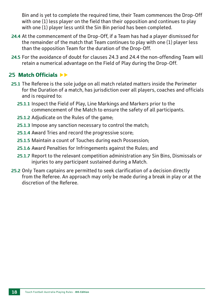Bin and is yet to complete the required time, their Team commences the Drop-Off with one (1) less player on the field than their opposition and continues to play with one (1) player less until the Sin Bin period has been completed.

- **24.4** At the commencement of the Drop-Off, if a Team has had a player dismissed for the remainder of the match that Team continues to play with one (1) player less than the opposition Team for the duration of the Drop-Off.
- **24.5** For the avoidance of doubt for clauses 24.3 and 24.4 the non-offending Team will retain a numerical advantage on the Field of Play during the Drop-Off.

#### **25** Match Officials

- **25.1** The Referee is the sole judge on all match related matters inside the Perimeter for the Duration of a match, has jurisdiction over all players, coaches and officials and is required to:
	- **25.1.1** Inspect the Field of Play, Line Markings and Markers prior to the commencement of the Match to ensure the safety of all participants.
	- **25.1.2** Adjudicate on the Rules of the game;
	- **25.1.3** Impose any sanction necessary to control the match;
	- **25.1.4** Award Tries and record the progressive score;
	- **25.1.5** Maintain a count of Touches during each Possession;
	- **25.1.6** Award Penalties for Infringements against the Rules; and
	- **25.1.7** Report to the relevant competition administration any Sin Bins, Dismissals or injuries to any participant sustained during a Match.
- **25.2** Only Team captains are permitted to seek clarification of a decision directly from the Referee. An approach may only be made during a break in play or at the discretion of the Referee.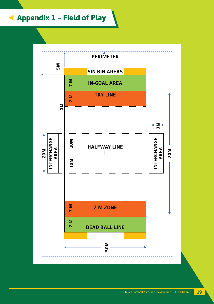## Appendix 1 – Field of Play